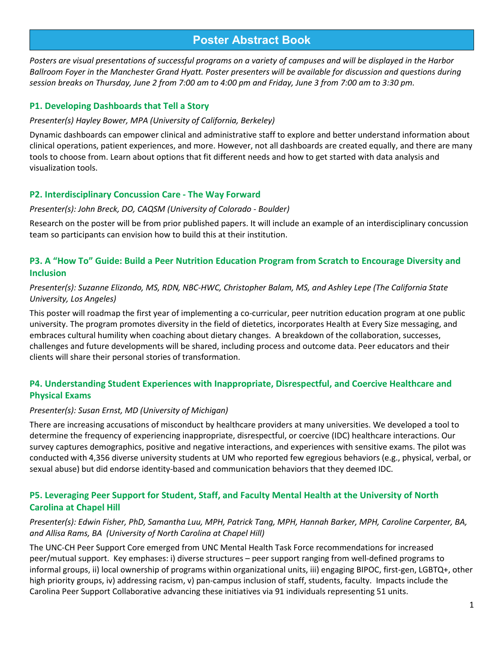# **Poster Abstract Book**

*Posters are visual presentations of successful programs on a variety of campuses and will be displayed in the Harbor Ballroom Foyer in the Manchester Grand Hyatt. Poster presenters will be available for discussion and questions during session breaks on Thursday, June 2 from 7:00 am to 4:00 pm and Friday, June 3 from 7:00 am to 3:30 pm.*

### **P1. Developing Dashboards that Tell a Story**

#### *Presenter(s) Hayley Bower, MPA (University of California, Berkeley)*

Dynamic dashboards can empower clinical and administrative staff to explore and better understand information about clinical operations, patient experiences, and more. However, not all dashboards are created equally, and there are many tools to choose from. Learn about options that fit different needs and how to get started with data analysis and visualization tools.

### **P2. Interdisciplinary Concussion Care - The Way Forward**

#### *Presenter(s): John Breck, DO, CAQSM (University of Colorado - Boulder)*

Research on the poster will be from prior published papers. It will include an example of an interdisciplinary concussion team so participants can envision how to build this at their institution.

### **P3. A "How To" Guide: Build a Peer Nutrition Education Program from Scratch to Encourage Diversity and Inclusion**

#### *Presenter(s): Suzanne Elizondo, MS, RDN, NBC-HWC, Christopher Balam, MS, and Ashley Lepe (The California State University, Los Angeles)*

This poster will roadmap the first year of implementing a co-curricular, peer nutrition education program at one public university. The program promotes diversity in the field of dietetics, incorporates Health at Every Size messaging, and embraces cultural humility when coaching about dietary changes. A breakdown of the collaboration, successes, challenges and future developments will be shared, including process and outcome data. Peer educators and their clients will share their personal stories of transformation.

### **P4. Understanding Student Experiences with Inappropriate, Disrespectful, and Coercive Healthcare and Physical Exams**

#### *Presenter(s): Susan Ernst, MD (University of Michigan)*

There are increasing accusations of misconduct by healthcare providers at many universities. We developed a tool to determine the frequency of experiencing inappropriate, disrespectful, or coercive (IDC) healthcare interactions. Our survey captures demographics, positive and negative interactions, and experiences with sensitive exams. The pilot was conducted with 4,356 diverse university students at UM who reported few egregious behaviors (e.g., physical, verbal, or sexual abuse) but did endorse identity-based and communication behaviors that they deemed IDC.

### **P5. Leveraging Peer Support for Student, Staff, and Faculty Mental Health at the University of North Carolina at Chapel Hill**

#### *Presenter(s): Edwin Fisher, PhD, Samantha Luu, MPH, Patrick Tang, MPH, Hannah Barker, MPH, Caroline Carpenter, BA, and Allisa Rams, BA (University of North Carolina at Chapel Hill)*

The UNC-CH Peer Support Core emerged from UNC Mental Health Task Force recommendations for increased peer/mutual support. Key emphases: i) diverse structures – peer support ranging from well-defined programs to informal groups, ii) local ownership of programs within organizational units, iii) engaging BIPOC, first-gen, LGBTQ+, other high priority groups, iv) addressing racism, v) pan-campus inclusion of staff, students, faculty. Impacts include the Carolina Peer Support Collaborative advancing these initiatives via 91 individuals representing 51 units.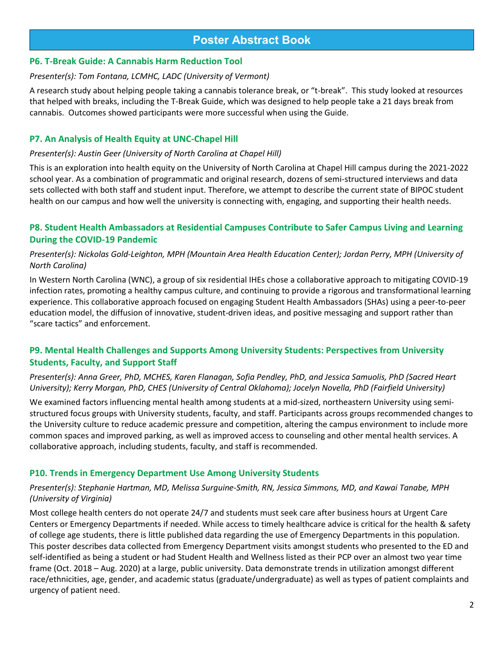# **Poster Abstract Book**

### **P6. T-Break Guide: A Cannabis Harm Reduction Tool**

#### *Presenter(s): Tom Fontana, LCMHC, LADC (University of Vermont)*

A research study about helping people taking a cannabis tolerance break, or "t-break". This study looked at resources that helped with breaks, including the T-Break Guide, which was designed to help people take a 21 days break from cannabis. Outcomes showed participants were more successful when using the Guide.

### **P7. An Analysis of Health Equity at UNC-Chapel Hill**

#### *Presenter(s): Austin Geer (University of North Carolina at Chapel Hill)*

This is an exploration into health equity on the University of North Carolina at Chapel Hill campus during the 2021-2022 school year. As a combination of programmatic and original research, dozens of semi-structured interviews and data sets collected with both staff and student input. Therefore, we attempt to describe the current state of BIPOC student health on our campus and how well the university is connecting with, engaging, and supporting their health needs.

### **P8. Student Health Ambassadors at Residential Campuses Contribute to Safer Campus Living and Learning During the COVID-19 Pandemic**

### *Presenter(s): Nickolas Gold-Leighton, MPH (Mountain Area Health Education Center); Jordan Perry, MPH (University of North Carolina)*

In Western North Carolina (WNC), a group of six residential IHEs chose a collaborative approach to mitigating COVID-19 infection rates, promoting a healthy campus culture, and continuing to provide a rigorous and transformational learning experience. This collaborative approach focused on engaging Student Health Ambassadors (SHAs) using a peer-to-peer education model, the diffusion of innovative, student-driven ideas, and positive messaging and support rather than "scare tactics" and enforcement.

### **P9. Mental Health Challenges and Supports Among University Students: Perspectives from University Students, Faculty, and Support Staff**

#### *Presenter(s): Anna Greer, PhD, MCHES, Karen Flanagan, Sofia Pendley, PhD, and Jessica Samuolis, PhD (Sacred Heart University); Kerry Morgan, PhD, CHES (University of Central Oklahoma); Jocelyn Novella, PhD (Fairfield University)*

We examined factors influencing mental health among students at a mid-sized, northeastern University using semistructured focus groups with University students, faculty, and staff. Participants across groups recommended changes to the University culture to reduce academic pressure and competition, altering the campus environment to include more common spaces and improved parking, as well as improved access to counseling and other mental health services. A collaborative approach, including students, faculty, and staff is recommended.

### **P10. Trends in Emergency Department Use Among University Students**

#### *Presenter(s): Stephanie Hartman, MD, Melissa Surguine-Smith, RN, Jessica Simmons, MD, and Kawai Tanabe, MPH (University of Virginia)*

Most college health centers do not operate 24/7 and students must seek care after business hours at Urgent Care Centers or Emergency Departments if needed. While access to timely healthcare advice is critical for the health & safety of college age students, there is little published data regarding the use of Emergency Departments in this population. This poster describes data collected from Emergency Department visits amongst students who presented to the ED and self-identified as being a student or had Student Health and Wellness listed as their PCP over an almost two year time frame (Oct. 2018 – Aug. 2020) at a large, public university. Data demonstrate trends in utilization amongst different race/ethnicities, age, gender, and academic status (graduate/undergraduate) as well as types of patient complaints and urgency of patient need.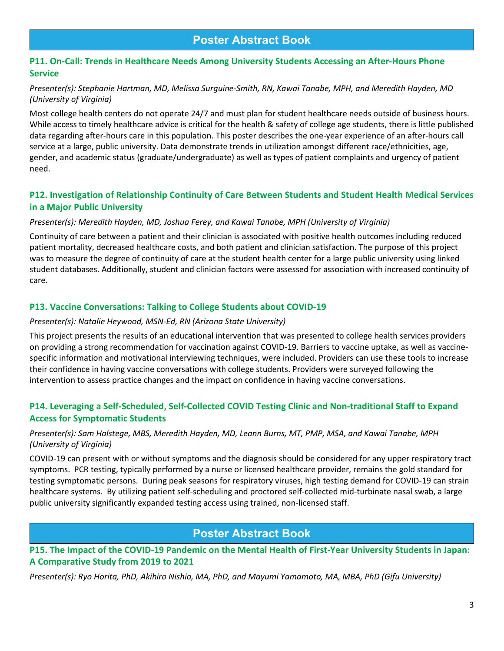### **P11. On-Call: Trends in Healthcare Needs Among University Students Accessing an After-Hours Phone Service**

### *Presenter(s): Stephanie Hartman, MD, Melissa Surguine-Smith, RN, Kawai Tanabe, MPH, and Meredith Hayden, MD (University of Virginia)*

Most college health centers do not operate 24/7 and must plan for student healthcare needs outside of business hours. While access to timely healthcare advice is critical for the health & safety of college age students, there is little published data regarding after-hours care in this population. This poster describes the one-year experience of an after-hours call service at a large, public university. Data demonstrate trends in utilization amongst different race/ethnicities, age, gender, and academic status (graduate/undergraduate) as well as types of patient complaints and urgency of patient need.

### **P12. Investigation of Relationship Continuity of Care Between Students and Student Health Medical Services in a Major Public University**

### *Presenter(s): Meredith Hayden, MD, Joshua Ferey, and Kawai Tanabe, MPH (University of Virginia)*

Continuity of care between a patient and their clinician is associated with positive health outcomes including reduced patient mortality, decreased healthcare costs, and both patient and clinician satisfaction. The purpose of this project was to measure the degree of continuity of care at the student health center for a large public university using linked student databases. Additionally, student and clinician factors were assessed for association with increased continuity of care.

### **P13. Vaccine Conversations: Talking to College Students about COVID-19**

#### *Presenter(s): Natalie Heywood, MSN-Ed, RN (Arizona State University)*

This project presents the results of an educational intervention that was presented to college health services providers on providing a strong recommendation for vaccination against COVID-19. Barriers to vaccine uptake, as well as vaccinespecific information and motivational interviewing techniques, were included. Providers can use these tools to increase their confidence in having vaccine conversations with college students. Providers were surveyed following the intervention to assess practice changes and the impact on confidence in having vaccine conversations.

### **P14. Leveraging a Self-Scheduled, Self-Collected COVID Testing Clinic and Non-traditional Staff to Expand Access for Symptomatic Students**

### *Presenter(s): Sam Holstege, MBS, Meredith Hayden, MD, Leann Burns, MT, PMP, MSA, and Kawai Tanabe, MPH (University of Virginia)*

COVID-19 can present with or without symptoms and the diagnosis should be considered for any upper respiratory tract symptoms. PCR testing, typically performed by a nurse or licensed healthcare provider, remains the gold standard for testing symptomatic persons. During peak seasons for respiratory viruses, high testing demand for COVID-19 can strain healthcare systems. By utilizing patient self-scheduling and proctored self-collected mid-turbinate nasal swab, a large public university significantly expanded testing access using trained, non-licensed staff.

# **Poster Abstract Book**

**P15. The Impact of the COVID-19 Pandemic on the Mental Health of First-Year University Students in Japan: A Comparative Study from 2019 to 2021**

*Presenter(s): Ryo Horita, PhD, Akihiro Nishio, MA, PhD, and Mayumi Yamamoto, MA, MBA, PhD (Gifu University)*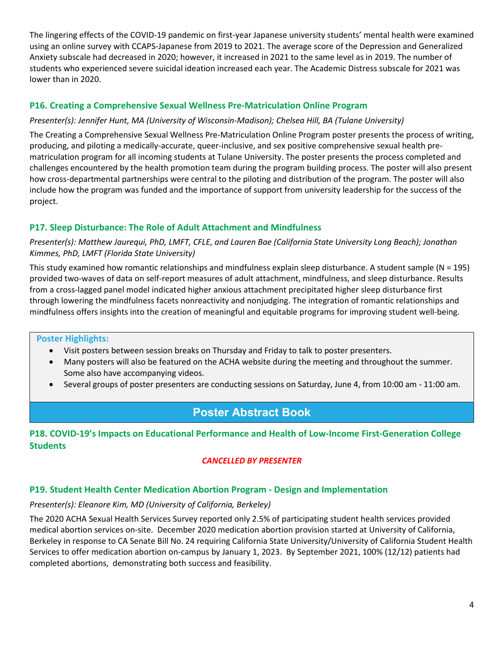The lingering effects of the COVID-19 pandemic on first-year Japanese university students' mental health were examined using an online survey with CCAPS-Japanese from 2019 to 2021. The average score of the Depression and Generalized Anxiety subscale had decreased in 2020; however, it increased in 2021 to the same level as in 2019. The number of students who experienced severe suicidal ideation increased each year. The Academic Distress subscale for 2021 was lower than in 2020.

### **P16. Creating a Comprehensive Sexual Wellness Pre-Matriculation Online Program**

### *Presenter(s): Jennifer Hunt, MA (University of Wisconsin-Madison); Chelsea Hill, BA (Tulane University)*

The Creating a Comprehensive Sexual Wellness Pre-Matriculation Online Program poster presents the process of writing, producing, and piloting a medically-accurate, queer-inclusive, and sex positive comprehensive sexual health prematriculation program for all incoming students at Tulane University. The poster presents the process completed and challenges encountered by the health promotion team during the program building process. The poster will also present how cross-departmental partnerships were central to the piloting and distribution of the program. The poster will also include how the program was funded and the importance of support from university leadership for the success of the project.

### **P17. Sleep Disturbance: The Role of Adult Attachment and Mindfulness**

### *Presenter(s): Matthew Jaurequi, PhD, LMFT, CFLE, and Lauren Bae (California State University Long Beach); Jonathan Kimmes, PhD, LMFT (Florida State University)*

This study examined how romantic relationships and mindfulness explain sleep disturbance. A student sample (N = 195) provided two-waves of data on self-report measures of adult attachment, mindfulness, and sleep disturbance. Results from a cross-lagged panel model indicated higher anxious attachment precipitated higher sleep disturbance first through lowering the mindfulness facets nonreactivity and nonjudging. The integration of romantic relationships and mindfulness offers insights into the creation of meaningful and equitable programs for improving student well-being.

#### **Poster Highlights:**

- Visit posters between session breaks on Thursday and Friday to talk to poster presenters.
- Many posters will also be featured on the ACHA website during the meeting and throughout the summer. Some also have accompanying videos.
- Several groups of poster presenters are conducting sessions on Saturday, June 4, from 10:00 am 11:00 am.

# **Poster Abstract Book**

### **P18. COVID-19's Impacts on Educational Performance and Health of Low-Income First-Generation College Students**

### *CANCELLED BY PRESENTER*

### **P19. Student Health Center Medication Abortion Program - Design and Implementation**

### *Presenter(s): Eleanore Kim, MD (University of California, Berkeley)*

The 2020 ACHA Sexual Health Services Survey reported only 2.5% of participating student health services provided medical abortion services on-site. December 2020 medication abortion provision started at University of California, Berkeley in response to CA Senate Bill No. 24 requiring California State University/University of California Student Health Services to offer medication abortion on-campus by January 1, 2023. By September 2021, 100% (12/12) patients had completed abortions, demonstrating both success and feasibility.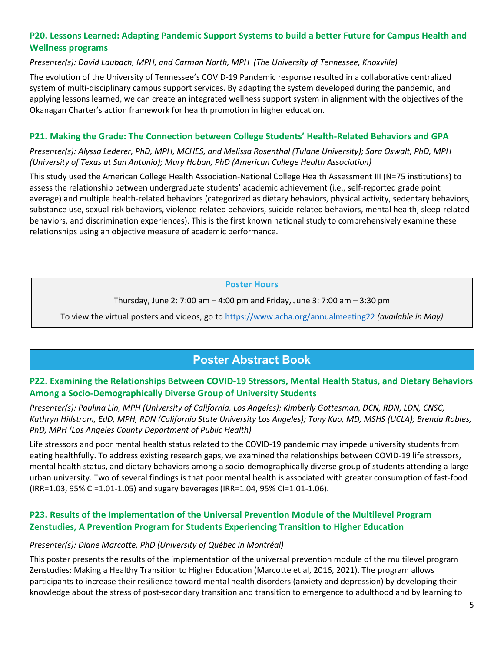### **P20. Lessons Learned: Adapting Pandemic Support Systems to build a better Future for Campus Health and Wellness programs**

### *Presenter(s): David Laubach, MPH, and Carman North, MPH (The University of Tennessee, Knoxville)*

The evolution of the University of Tennessee's COVID-19 Pandemic response resulted in a collaborative centralized system of multi-disciplinary campus support services. By adapting the system developed during the pandemic, and applying lessons learned, we can create an integrated wellness support system in alignment with the objectives of the Okanagan Charter's action framework for health promotion in higher education.

### **P21. Making the Grade: The Connection between College Students' Health-Related Behaviors and GPA**

*Presenter(s): Alyssa Lederer, PhD, MPH, MCHES, and Melissa Rosenthal (Tulane University); Sara Oswalt, PhD, MPH (University of Texas at San Antonio); Mary Hoban, PhD (American College Health Association)*

This study used the American College Health Association-National College Health Assessment III (N=75 institutions) to assess the relationship between undergraduate students' academic achievement (i.e., self-reported grade point average) and multiple health-related behaviors (categorized as dietary behaviors, physical activity, sedentary behaviors, substance use, sexual risk behaviors, violence-related behaviors, suicide-related behaviors, mental health, sleep-related behaviors, and discrimination experiences). This is the first known national study to comprehensively examine these relationships using an objective measure of academic performance.

#### **Poster Hours**

Thursday, June 2: 7:00 am – 4:00 pm and Friday, June 3: 7:00 am – 3:30 pm

To view the virtual posters and videos, go to<https://www.acha.org/annualmeeting22> *(available in May)*

# **Poster Abstract Book**

### **P22. Examining the Relationships Between COVID-19 Stressors, Mental Health Status, and Dietary Behaviors Among a Socio-Demographically Diverse Group of University Students**

*Presenter(s): Paulina Lin, MPH (University of California, Los Angeles); Kimberly Gottesman, DCN, RDN, LDN, CNSC, Kathryn Hillstrom, EdD, MPH, RDN (California State University Los Angeles); Tony Kuo, MD, MSHS (UCLA); Brenda Robles, PhD, MPH (Los Angeles County Department of Public Health)*

Life stressors and poor mental health status related to the COVID-19 pandemic may impede university students from eating healthfully. To address existing research gaps, we examined the relationships between COVID-19 life stressors, mental health status, and dietary behaviors among a socio-demographically diverse group of students attending a large urban university. Two of several findings is that poor mental health is associated with greater consumption of fast-food (IRR=1.03, 95% CI=1.01-1.05) and sugary beverages (IRR=1.04, 95% CI=1.01-1.06).

### **P23. Results of the Implementation of the Universal Prevention Module of the Multilevel Program Zenstudies, A Prevention Program for Students Experiencing Transition to Higher Education**

### *Presenter(s): Diane Marcotte, PhD (University of Québec in Montréal)*

This poster presents the results of the implementation of the universal prevention module of the multilevel program Zenstudies: Making a Healthy Transition to Higher Education (Marcotte et al, 2016, 2021). The program allows participants to increase their resilience toward mental health disorders (anxiety and depression) by developing their knowledge about the stress of post-secondary transition and transition to emergence to adulthood and by learning to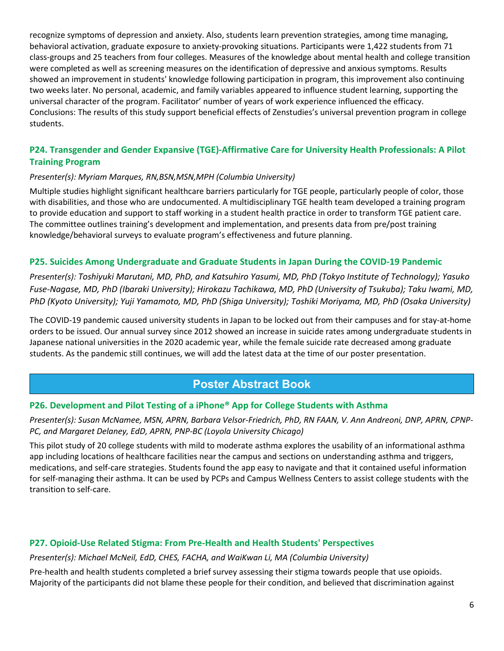recognize symptoms of depression and anxiety. Also, students learn prevention strategies, among time managing, behavioral activation, graduate exposure to anxiety-provoking situations. Participants were 1,422 students from 71 class-groups and 25 teachers from four colleges. Measures of the knowledge about mental health and college transition were completed as well as screening measures on the identification of depressive and anxious symptoms. Results showed an improvement in students' knowledge following participation in program, this improvement also continuing two weeks later. No personal, academic, and family variables appeared to influence student learning, supporting the universal character of the program. Facilitator' number of years of work experience influenced the efficacy. Conclusions: The results of this study support beneficial effects of Zenstudies's universal prevention program in college students.

### **P24. Transgender and Gender Expansive (TGE)-Affirmative Care for University Health Professionals: A Pilot Training Program**

### *Presenter(s): Myriam Marques, RN,BSN,MSN,MPH (Columbia University)*

Multiple studies highlight significant healthcare barriers particularly for TGE people, particularly people of color, those with disabilities, and those who are undocumented. A multidisciplinary TGE health team developed a training program to provide education and support to staff working in a student health practice in order to transform TGE patient care. The committee outlines training's development and implementation, and presents data from pre/post training knowledge/behavioral surveys to evaluate program's effectiveness and future planning.

#### **P25. Suicides Among Undergraduate and Graduate Students in Japan During the COVID-19 Pandemic**

*Presenter(s): Toshiyuki Marutani, MD, PhD, and Katsuhiro Yasumi, MD, PhD (Tokyo Institute of Technology); Yasuko Fuse-Nagase, MD, PhD (Ibaraki University); Hirokazu Tachikawa, MD, PhD (University of Tsukuba); Taku Iwami, MD, PhD (Kyoto University); Yuji Yamamoto, MD, PhD (Shiga University); Toshiki Moriyama, MD, PhD (Osaka University)*

The COVID-19 pandemic caused university students in Japan to be locked out from their campuses and for stay-at-home orders to be issued. Our annual survey since 2012 showed an increase in suicide rates among undergraduate students in Japanese national universities in the 2020 academic year, while the female suicide rate decreased among graduate students. As the pandemic still continues, we will add the latest data at the time of our poster presentation.

# **Poster Abstract Book**

### **P26. Development and Pilot Testing of a iPhone® App for College Students with Asthma**

*Presenter(s): Susan McNamee, MSN, APRN, Barbara Velsor-Friedrich, PhD, RN FAAN, V. Ann Andreoni, DNP, APRN, CPNP-PC, and Margaret Delaney, EdD, APRN, PNP-BC (Loyola University Chicago)*

This pilot study of 20 college students with mild to moderate asthma explores the usability of an informational asthma app including locations of healthcare facilities near the campus and sections on understanding asthma and triggers, medications, and self-care strategies. Students found the app easy to navigate and that it contained useful information for self-managing their asthma. It can be used by PCPs and Campus Wellness Centers to assist college students with the transition to self-care.

### **P27. Opioid-Use Related Stigma: From Pre-Health and Health Students' Perspectives**

*Presenter(s): Michael McNeil, EdD, CHES, FACHA, and WaiKwan Li, MA (Columbia University)*

Pre-health and health students completed a brief survey assessing their stigma towards people that use opioids. Majority of the participants did not blame these people for their condition, and believed that discrimination against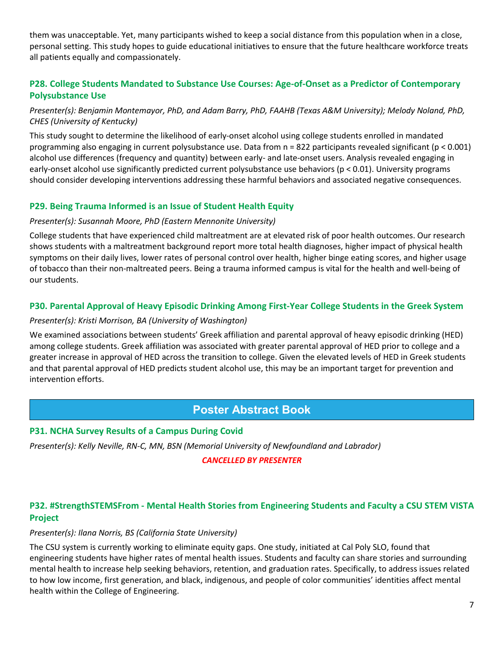them was unacceptable. Yet, many participants wished to keep a social distance from this population when in a close, personal setting. This study hopes to guide educational initiatives to ensure that the future healthcare workforce treats all patients equally and compassionately.

### **P28. College Students Mandated to Substance Use Courses: Age-of-Onset as a Predictor of Contemporary Polysubstance Use**

### *Presenter(s): Benjamin Montemayor, PhD, and Adam Barry, PhD, FAAHB (Texas A&M University); Melody Noland, PhD, CHES (University of Kentucky)*

This study sought to determine the likelihood of early-onset alcohol using college students enrolled in mandated programming also engaging in current polysubstance use. Data from n = 822 participants revealed significant (p < 0.001) alcohol use differences (frequency and quantity) between early- and late-onset users. Analysis revealed engaging in early-onset alcohol use significantly predicted current polysubstance use behaviors (p < 0.01). University programs should consider developing interventions addressing these harmful behaviors and associated negative consequences.

### **P29. Being Trauma Informed is an Issue of Student Health Equity**

#### *Presenter(s): Susannah Moore, PhD (Eastern Mennonite University)*

College students that have experienced child maltreatment are at elevated risk of poor health outcomes. Our research shows students with a maltreatment background report more total health diagnoses, higher impact of physical health symptoms on their daily lives, lower rates of personal control over health, higher binge eating scores, and higher usage of tobacco than their non-maltreated peers. Being a trauma informed campus is vital for the health and well-being of our students.

### **P30. Parental Approval of Heavy Episodic Drinking Among First-Year College Students in the Greek System**

### *Presenter(s): Kristi Morrison, BA (University of Washington)*

We examined associations between students' Greek affiliation and parental approval of heavy episodic drinking (HED) among college students. Greek affiliation was associated with greater parental approval of HED prior to college and a greater increase in approval of HED across the transition to college. Given the elevated levels of HED in Greek students and that parental approval of HED predicts student alcohol use, this may be an important target for prevention and intervention efforts.

# **Poster Abstract Book**

### **P31. NCHA Survey Results of a Campus During Covid**

*Presenter(s): Kelly Neville, RN-C, MN, BSN (Memorial University of Newfoundland and Labrador)*

### *CANCELLED BY PRESENTER*

### **P32. #StrengthSTEMSFrom - Mental Health Stories from Engineering Students and Faculty a CSU STEM VISTA Project**

#### *Presenter(s): Ilana Norris, BS (California State University)*

The CSU system is currently working to eliminate equity gaps. One study, initiated at Cal Poly SLO, found that engineering students have higher rates of mental health issues. Students and faculty can share stories and surrounding mental health to increase help seeking behaviors, retention, and graduation rates. Specifically, to address issues related to how low income, first generation, and black, indigenous, and people of color communities' identities affect mental health within the College of Engineering.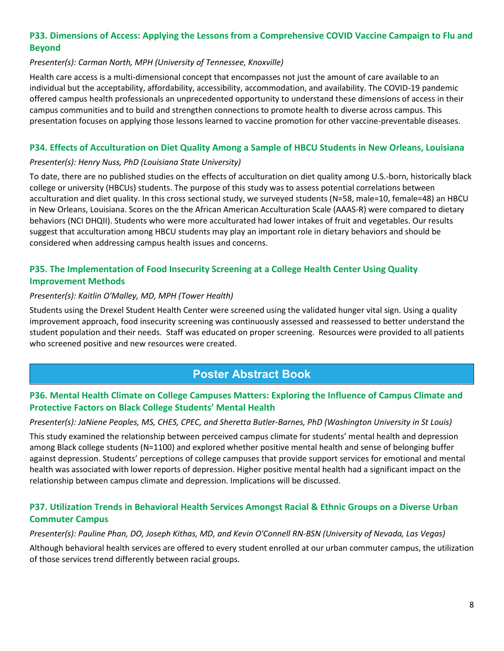### **P33. Dimensions of Access: Applying the Lessons from a Comprehensive COVID Vaccine Campaign to Flu and Beyond**

#### *Presenter(s): Carman North, MPH (University of Tennessee, Knoxville)*

Health care access is a multi-dimensional concept that encompasses not just the amount of care available to an individual but the acceptability, affordability, accessibility, accommodation, and availability. The COVID-19 pandemic offered campus health professionals an unprecedented opportunity to understand these dimensions of access in their campus communities and to build and strengthen connections to promote health to diverse across campus. This presentation focuses on applying those lessons learned to vaccine promotion for other vaccine-preventable diseases.

### **P34. Effects of Acculturation on Diet Quality Among a Sample of HBCU Students in New Orleans, Louisiana**

#### *Presenter(s): Henry Nuss, PhD (Louisiana State University)*

To date, there are no published studies on the effects of acculturation on diet quality among U.S.-born, historically black college or university (HBCUs) students. The purpose of this study was to assess potential correlations between acculturation and diet quality. In this cross sectional study, we surveyed students (N=58, male=10, female=48) an HBCU in New Orleans, Louisiana. Scores on the the African American Acculturation Scale (AAAS-R) were compared to dietary behaviors (NCI DHQII). Students who were more acculturated had lower intakes of fruit and vegetables. Our results suggest that acculturation among HBCU students may play an important role in dietary behaviors and should be considered when addressing campus health issues and concerns.

### **P35. The Implementation of Food Insecurity Screening at a College Health Center Using Quality Improvement Methods**

#### *Presenter(s): Kaitlin O'Malley, MD, MPH (Tower Health)*

Students using the Drexel Student Health Center were screened using the validated hunger vital sign. Using a quality improvement approach, food insecurity screening was continuously assessed and reassessed to better understand the student population and their needs. Staff was educated on proper screening. Resources were provided to all patients who screened positive and new resources were created.

# **Poster Abstract Book**

### **P36. Mental Health Climate on College Campuses Matters: Exploring the Influence of Campus Climate and Protective Factors on Black College Students' Mental Health**

#### *Presenter(s): JaNiene Peoples, MS, CHES, CPEC, and Sheretta Butler-Barnes, PhD (Washington University in St Louis)*

This study examined the relationship between perceived campus climate for students' mental health and depression among Black college students (N=1100) and explored whether positive mental health and sense of belonging buffer against depression. Students' perceptions of college campuses that provide support services for emotional and mental health was associated with lower reports of depression. Higher positive mental health had a significant impact on the relationship between campus climate and depression. Implications will be discussed.

### **P37. Utilization Trends in Behavioral Health Services Amongst Racial & Ethnic Groups on a Diverse Urban Commuter Campus**

#### *Presenter(s): Pauline Phan, DO, Joseph Kithas, MD, and Kevin O'Connell RN-BSN (University of Nevada, Las Vegas)*

Although behavioral health services are offered to every student enrolled at our urban commuter campus, the utilization of those services trend differently between racial groups.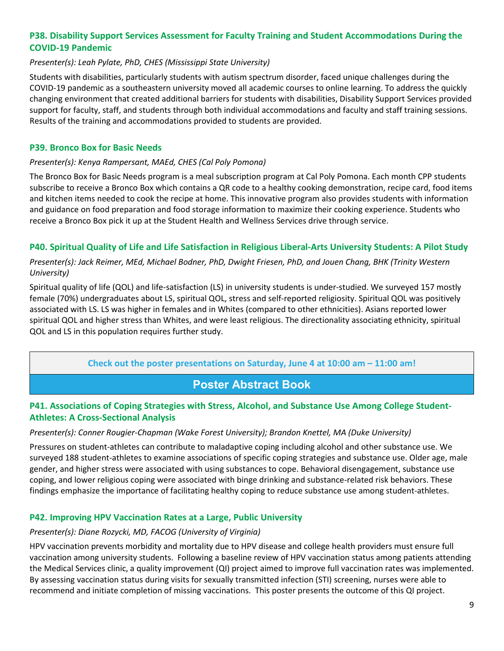### **P38. Disability Support Services Assessment for Faculty Training and Student Accommodations During the COVID-19 Pandemic**

### *Presenter(s): Leah Pylate, PhD, CHES (Mississippi State University)*

Students with disabilities, particularly students with autism spectrum disorder, faced unique challenges during the COVID-19 pandemic as a southeastern university moved all academic courses to online learning. To address the quickly changing environment that created additional barriers for students with disabilities, Disability Support Services provided support for faculty, staff, and students through both individual accommodations and faculty and staff training sessions. Results of the training and accommodations provided to students are provided.

### **P39. Bronco Box for Basic Needs**

#### *Presenter(s): Kenya Rampersant, MAEd, CHES (Cal Poly Pomona)*

The Bronco Box for Basic Needs program is a meal subscription program at Cal Poly Pomona. Each month CPP students subscribe to receive a Bronco Box which contains a QR code to a healthy cooking demonstration, recipe card, food items and kitchen items needed to cook the recipe at home. This innovative program also provides students with information and guidance on food preparation and food storage information to maximize their cooking experience. Students who receive a Bronco Box pick it up at the Student Health and Wellness Services drive through service.

### **P40. Spiritual Quality of Life and Life Satisfaction in Religious Liberal-Arts University Students: A Pilot Study**

### *Presenter(s): Jack Reimer, MEd, Michael Bodner, PhD, Dwight Friesen, PhD, and Jouen Chang, BHK (Trinity Western University)*

Spiritual quality of life (QOL) and life-satisfaction (LS) in university students is under-studied. We surveyed 157 mostly female (70%) undergraduates about LS, spiritual QOL, stress and self-reported religiosity. Spiritual QOL was positively associated with LS. LS was higher in females and in Whites (compared to other ethnicities). Asians reported lower spiritual QOL and higher stress than Whites, and were least religious. The directionality associating ethnicity, spiritual QOL and LS in this population requires further study.

### **Check out the poster presentations on Saturday, June 4 at 10:00 am – 11:00 am!**

# **Poster Abstract Book**

### **P41. Associations of Coping Strategies with Stress, Alcohol, and Substance Use Among College Student-Athletes: A Cross-Sectional Analysis**

#### *Presenter(s): Conner Rougier-Chapman (Wake Forest University); Brandon Knettel, MA (Duke University)*

Pressures on student-athletes can contribute to maladaptive coping including alcohol and other substance use. We surveyed 188 student-athletes to examine associations of specific coping strategies and substance use. Older age, male gender, and higher stress were associated with using substances to cope. Behavioral disengagement, substance use coping, and lower religious coping were associated with binge drinking and substance-related risk behaviors. These findings emphasize the importance of facilitating healthy coping to reduce substance use among student-athletes.

### **P42. Improving HPV Vaccination Rates at a Large, Public University**

#### *Presenter(s): Diane Rozycki, MD, FACOG (University of Virginia)*

HPV vaccination prevents morbidity and mortality due to HPV disease and college health providers must ensure full vaccination among university students. Following a baseline review of HPV vaccination status among patients attending the Medical Services clinic, a quality improvement (QI) project aimed to improve full vaccination rates was implemented. By assessing vaccination status during visits for sexually transmitted infection (STI) screening, nurses were able to recommend and initiate completion of missing vaccinations. This poster presents the outcome of this QI project.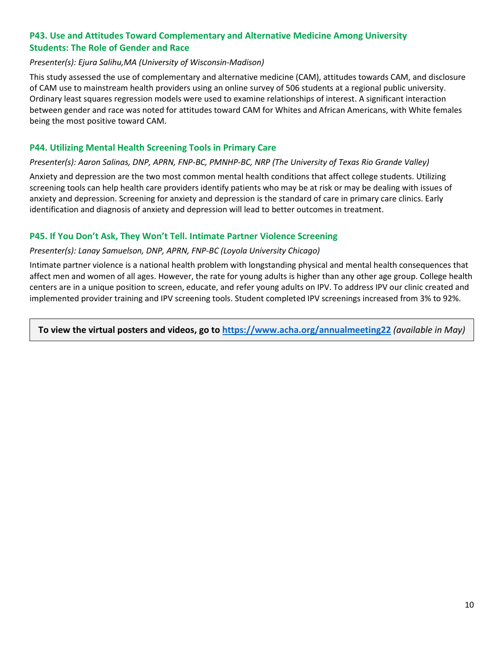### **P43. Use and Attitudes Toward Complementary and Alternative Medicine Among University Students: The Role of Gender and Race**

#### *Presenter(s): Ejura Salihu,MA (University of Wisconsin-Madison)*

This study assessed the use of complementary and alternative medicine (CAM), attitudes towards CAM, and disclosure of CAM use to mainstream health providers using an online survey of 506 students at a regional public university. Ordinary least squares regression models were used to examine relationships of interest. A significant interaction between gender and race was noted for attitudes toward CAM for Whites and African Americans, with White females being the most positive toward CAM.

#### **P44. Utilizing Mental Health Screening Tools in Primary Care**

#### *Presenter(s): Aaron Salinas, DNP, APRN, FNP-BC, PMNHP-BC, NRP (The University of Texas Rio Grande Valley)*

Anxiety and depression are the two most common mental health conditions that affect college students. Utilizing screening tools can help health care providers identify patients who may be at risk or may be dealing with issues of anxiety and depression. Screening for anxiety and depression is the standard of care in primary care clinics. Early identification and diagnosis of anxiety and depression will lead to better outcomes in treatment.

#### **P45. If You Don't Ask, They Won't Tell. Intimate Partner Violence Screening**

#### *Presenter(s): Lanay Samuelson, DNP, APRN, FNP-BC (Loyola University Chicago)*

Intimate partner violence is a national health problem with longstanding physical and mental health consequences that affect men and women of all ages. However, the rate for young adults is higher than any other age group. College health centers are in a unique position to screen, educate, and refer young adults on IPV. To address IPV our clinic created and implemented provider training and IPV screening tools. Student completed IPV screenings increased from 3% to 92%.

**To view the virtual posters and videos, go to<https://www.acha.org/annualmeeting22>** *(available in May)*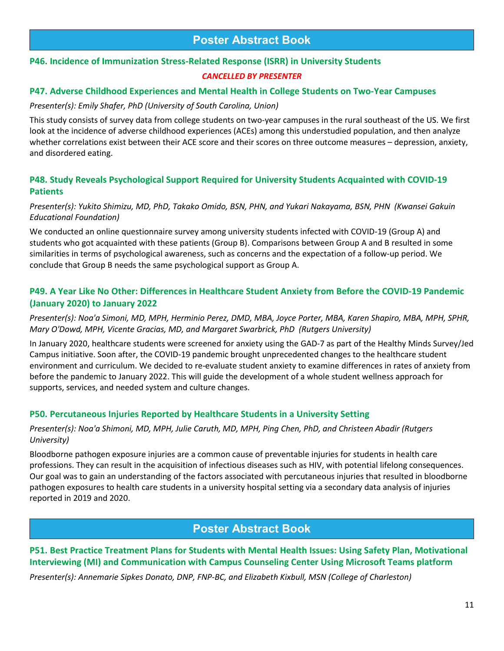# **Poster Abstract Book**

# **P46. Incidence of Immunization Stress-Related Response (ISRR) in University Students**

### *CANCELLED BY PRESENTER*

### **P47. Adverse Childhood Experiences and Mental Health in College Students on Two-Year Campuses**

### *Presenter(s): Emily Shafer, PhD (University of South Carolina, Union)*

This study consists of survey data from college students on two-year campuses in the rural southeast of the US. We first look at the incidence of adverse childhood experiences (ACEs) among this understudied population, and then analyze whether correlations exist between their ACE score and their scores on three outcome measures – depression, anxiety, and disordered eating.

### **P48. Study Reveals Psychological Support Required for University Students Acquainted with COVID-19 Patients**

*Presenter(s): Yukito Shimizu, MD, PhD, Takako Omido, BSN, PHN, and Yukari Nakayama, BSN, PHN (Kwansei Gakuin Educational Foundation)*

We conducted an online questionnaire survey among university students infected with COVID-19 (Group A) and students who got acquainted with these patients (Group B). Comparisons between Group A and B resulted in some similarities in terms of psychological awareness, such as concerns and the expectation of a follow-up period. We conclude that Group B needs the same psychological support as Group A.

### **P49. A Year Like No Other: Differences in Healthcare Student Anxiety from Before the COVID-19 Pandemic (January 2020) to January 2022**

*Presenter(s): Noa'a Simoni, MD, MPH, Herminio Perez, DMD, MBA, Joyce Porter, MBA, Karen Shapiro, MBA, MPH, SPHR, Mary O'Dowd, MPH, Vicente Gracias, MD, and Margaret Swarbrick, PhD (Rutgers University)*

In January 2020, healthcare students were screened for anxiety using the GAD-7 as part of the Healthy Minds Survey/Jed Campus initiative. Soon after, the COVID-19 pandemic brought unprecedented changes to the healthcare student environment and curriculum. We decided to re-evaluate student anxiety to examine differences in rates of anxiety from before the pandemic to January 2022. This will guide the development of a whole student wellness approach for supports, services, and needed system and culture changes.

### **P50. Percutaneous Injuries Reported by Healthcare Students in a University Setting**

#### *Presenter(s): Noa'a Shimoni, MD, MPH, Julie Caruth, MD, MPH, Ping Chen, PhD, and Christeen Abadir (Rutgers University)*

Bloodborne pathogen exposure injuries are a common cause of preventable injuries for students in health care professions. They can result in the acquisition of infectious diseases such as HIV, with potential lifelong consequences. Our goal was to gain an understanding of the factors associated with percutaneous injuries that resulted in bloodborne pathogen exposures to health care students in a university hospital setting via a secondary data analysis of injuries reported in 2019 and 2020.

# **Poster Abstract Book**

### **P51. Best Practice Treatment Plans for Students with Mental Health Issues: Using Safety Plan, Motivational Interviewing (MI) and Communication with Campus Counseling Center Using Microsoft Teams platform**

*Presenter(s): Annemarie Sipkes Donato, DNP, FNP-BC, and Elizabeth Kixbull, MSN (College of Charleston)*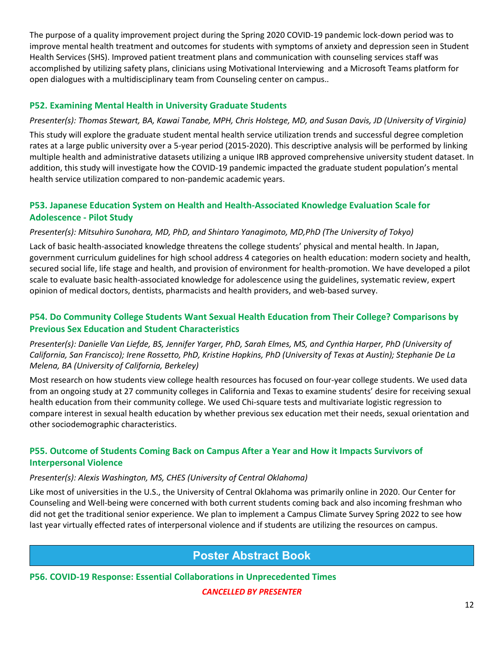The purpose of a quality improvement project during the Spring 2020 COVID-19 pandemic lock-down period was to improve mental health treatment and outcomes for students with symptoms of anxiety and depression seen in Student Health Services (SHS). Improved patient treatment plans and communication with counseling services staff was accomplished by utilizing safety plans, clinicians using Motivational Interviewing and a Microsoft Teams platform for open dialogues with a multidisciplinary team from Counseling center on campus..

### **P52. Examining Mental Health in University Graduate Students**

### *Presenter(s): Thomas Stewart, BA, Kawai Tanabe, MPH, Chris Holstege, MD, and Susan Davis, JD (University of Virginia)*

This study will explore the graduate student mental health service utilization trends and successful degree completion rates at a large public university over a 5-year period (2015-2020). This descriptive analysis will be performed by linking multiple health and administrative datasets utilizing a unique IRB approved comprehensive university student dataset. In addition, this study will investigate how the COVID-19 pandemic impacted the graduate student population's mental health service utilization compared to non-pandemic academic years.

### **P53. Japanese Education System on Health and Health-Associated Knowledge Evaluation Scale for Adolescence - Pilot Study**

#### *Presenter(s): Mitsuhiro Sunohara, MD, PhD, and Shintaro Yanagimoto, MD,PhD (The University of Tokyo)*

Lack of basic health-associated knowledge threatens the college students' physical and mental health. In Japan, government curriculum guidelines for high school address 4 categories on health education: modern society and health, secured social life, life stage and health, and provision of environment for health-promotion. We have developed a pilot scale to evaluate basic health-associated knowledge for adolescence using the guidelines, systematic review, expert opinion of medical doctors, dentists, pharmacists and health providers, and web-based survey.

### **P54. Do Community College Students Want Sexual Health Education from Their College? Comparisons by Previous Sex Education and Student Characteristics**

*Presenter(s): Danielle Van Liefde, BS, Jennifer Yarger, PhD, Sarah Elmes, MS, and Cynthia Harper, PhD (University of California, San Francisco); Irene Rossetto, PhD, Kristine Hopkins, PhD (University of Texas at Austin); Stephanie De La Melena, BA (University of California, Berkeley)* 

Most research on how students view college health resources has focused on four-year college students. We used data from an ongoing study at 27 community colleges in California and Texas to examine students' desire for receiving sexual health education from their community college. We used Chi-square tests and multivariate logistic regression to compare interest in sexual health education by whether previous sex education met their needs, sexual orientation and other sociodemographic characteristics.

### **P55. Outcome of Students Coming Back on Campus After a Year and How it Impacts Survivors of Interpersonal Violence**

#### *Presenter(s): Alexis Washington, MS, CHES (University of Central Oklahoma)*

Like most of universities in the U.S., the University of Central Oklahoma was primarily online in 2020. Our Center for Counseling and Well-being were concerned with both current students coming back and also incoming freshman who did not get the traditional senior experience. We plan to implement a Campus Climate Survey Spring 2022 to see how last year virtually effected rates of interpersonal violence and if students are utilizing the resources on campus.

# **Poster Abstract Book**

**P56. COVID-19 Response: Essential Collaborations in Unprecedented Times**

### *CANCELLED BY PRESENTER*